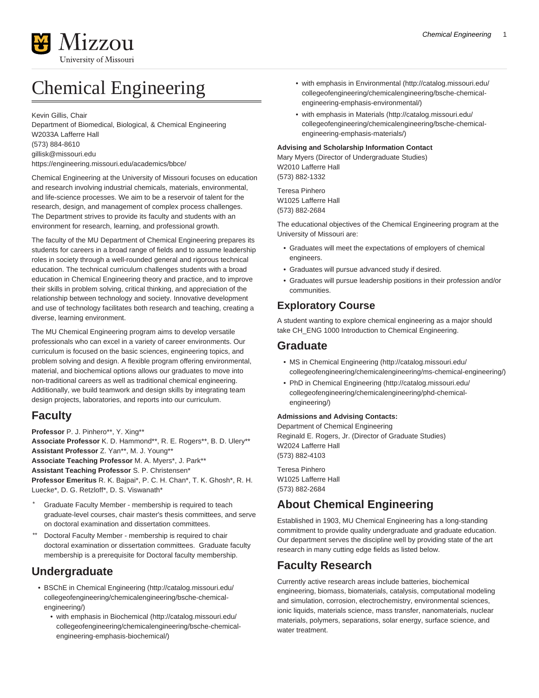

# Chemical Engineering

Kevin Gillis, Chair

Department of Biomedical, Biological, & Chemical Engineering W2033A Lafferre Hall (573) 884-8610 [gillisk@missouri.edu](mailto:gillisk@missouri.edu) <https://engineering.missouri.edu/academics/bbce/>

Chemical Engineering at the University of Missouri focuses on education and research involving industrial chemicals, materials, environmental, and life-science processes. We aim to be a reservoir of talent for the research, design, and management of complex process challenges. The Department strives to provide its faculty and students with an environment for research, learning, and professional growth.

The faculty of the MU Department of Chemical Engineering prepares its students for careers in a broad range of fields and to assume leadership roles in society through a well-rounded general and rigorous technical education. The technical curriculum challenges students with a broad education in Chemical Engineering theory and practice, and to improve their skills in problem solving, critical thinking, and appreciation of the relationship between technology and society. Innovative development and use of technology facilitates both research and teaching, creating a diverse, learning environment.

The MU Chemical Engineering program aims to develop versatile professionals who can excel in a variety of career environments. Our curriculum is focused on the basic sciences, engineering topics, and problem solving and design. A flexible program offering environmental, material, and biochemical options allows our graduates to move into non-traditional careers as well as traditional chemical engineering. Additionally, we build teamwork and design skills by integrating team design projects, laboratories, and reports into our curriculum.

### **Faculty**

**Professor** P. J. Pinhero\*\*, Y. Xing\*\* **Associate Professor** K. D. Hammond\*\*, R. E. Rogers\*\*, B. D. Ulery\*\* **Assistant Professor** Z. Yan\*\*, M. J. Young\*\* **Associate Teaching Professor** M. A. Myers\*, J. Park\*\* **Assistant Teaching Professor** S. P. Christensen\* **Professor Emeritus** R. K. Bajpai\*, P. C. H. Chan\*, T. K. Ghosh\*, R. H. Luecke\*, D. G. Retzloff\*, D. S. Viswanath\*

- Graduate Faculty Member membership is required to teach graduate-level courses, chair master's thesis committees, and serve on doctoral examination and dissertation committees.
- Doctoral Faculty Member membership is required to chair doctoral examination or dissertation committees. Graduate faculty membership is a prerequisite for Doctoral faculty membership.

### **Undergraduate**

- [BSChE in Chemical Engineering](http://catalog.missouri.edu/collegeofengineering/chemicalengineering/bsche-chemical-engineering/) [\(http://catalog.missouri.edu/](http://catalog.missouri.edu/collegeofengineering/chemicalengineering/bsche-chemical-engineering/) [collegeofengineering/chemicalengineering/bsche-chemical](http://catalog.missouri.edu/collegeofengineering/chemicalengineering/bsche-chemical-engineering/)[engineering/](http://catalog.missouri.edu/collegeofengineering/chemicalengineering/bsche-chemical-engineering/))
	- [with emphasis in Biochemical](http://catalog.missouri.edu/collegeofengineering/chemicalengineering/bsche-chemical-engineering-emphasis-biochemical/) [\(http://catalog.missouri.edu/](http://catalog.missouri.edu/collegeofengineering/chemicalengineering/bsche-chemical-engineering-emphasis-biochemical/) [collegeofengineering/chemicalengineering/bsche-chemical](http://catalog.missouri.edu/collegeofengineering/chemicalengineering/bsche-chemical-engineering-emphasis-biochemical/)[engineering-emphasis-biochemical/\)](http://catalog.missouri.edu/collegeofengineering/chemicalengineering/bsche-chemical-engineering-emphasis-biochemical/)
- Chemical Engineering 1
- [with emphasis in Environmental](http://catalog.missouri.edu/collegeofengineering/chemicalengineering/bsche-chemical-engineering-emphasis-environmental/) [\(http://catalog.missouri.edu/](http://catalog.missouri.edu/collegeofengineering/chemicalengineering/bsche-chemical-engineering-emphasis-environmental/) [collegeofengineering/chemicalengineering/bsche-chemical](http://catalog.missouri.edu/collegeofengineering/chemicalengineering/bsche-chemical-engineering-emphasis-environmental/)[engineering-emphasis-environmental/\)](http://catalog.missouri.edu/collegeofengineering/chemicalengineering/bsche-chemical-engineering-emphasis-environmental/)
- [with emphasis in Materials](http://catalog.missouri.edu/collegeofengineering/chemicalengineering/bsche-chemical-engineering-emphasis-materials/) ([http://catalog.missouri.edu/](http://catalog.missouri.edu/collegeofengineering/chemicalengineering/bsche-chemical-engineering-emphasis-materials/) [collegeofengineering/chemicalengineering/bsche-chemical](http://catalog.missouri.edu/collegeofengineering/chemicalengineering/bsche-chemical-engineering-emphasis-materials/)[engineering-emphasis-materials/](http://catalog.missouri.edu/collegeofengineering/chemicalengineering/bsche-chemical-engineering-emphasis-materials/))

#### **Advising and Scholarship Information Contact**

Mary Myers (Director of Undergraduate Studies) W2010 Lafferre Hall (573) 882-1332

Teresa Pinhero W1025 Lafferre Hall (573) 882-2684

The educational objectives of the Chemical Engineering program at the University of Missouri are:

- Graduates will meet the expectations of employers of chemical engineers.
- Graduates will pursue advanced study if desired.
- Graduates will pursue leadership positions in their profession and/or communities.

### **Exploratory Course**

A student wanting to explore chemical engineering as a major should take CH\_ENG 1000 Introduction to Chemical Engineering.

### **Graduate**

- [MS in Chemical Engineering](http://catalog.missouri.edu/collegeofengineering/chemicalengineering/ms-chemical-engineering/) ([http://catalog.missouri.edu/](http://catalog.missouri.edu/collegeofengineering/chemicalengineering/ms-chemical-engineering/) [collegeofengineering/chemicalengineering/ms-chemical-engineering/](http://catalog.missouri.edu/collegeofengineering/chemicalengineering/ms-chemical-engineering/))
- [PhD in Chemical Engineering](http://catalog.missouri.edu/collegeofengineering/chemicalengineering/phd-chemical-engineering/) [\(http://catalog.missouri.edu/](http://catalog.missouri.edu/collegeofengineering/chemicalengineering/phd-chemical-engineering/) [collegeofengineering/chemicalengineering/phd-chemical](http://catalog.missouri.edu/collegeofengineering/chemicalengineering/phd-chemical-engineering/)[engineering/](http://catalog.missouri.edu/collegeofengineering/chemicalengineering/phd-chemical-engineering/))

#### **Admissions and Advising Contacts:**

Department of Chemical Engineering Reginald E. Rogers, Jr. (Director of Graduate Studies) W2024 Lafferre Hall (573) 882-4103

Teresa Pinhero W1025 Lafferre Hall (573) 882-2684

## **About Chemical Engineering**

Established in 1903, MU Chemical Engineering has a long-standing commitment to provide quality undergraduate and graduate education. Our department serves the discipline well by providing state of the art research in many cutting edge fields as listed below.

### **Faculty Research**

Currently active research areas include batteries, biochemical engineering, biomass, biomaterials, catalysis, computational modeling and simulation, corrosion, electrochemistry, environmental sciences, ionic liquids, materials science, mass transfer, nanomaterials, nuclear materials, polymers, separations, solar energy, surface science, and water treatment.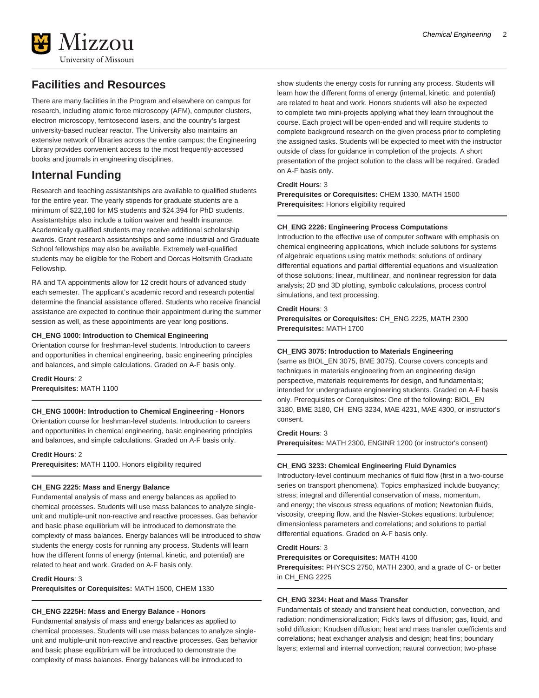

### **Facilities and Resources**

There are many facilities in the Program and elsewhere on campus for research, including atomic force microscopy (AFM), computer clusters, electron microscopy, femtosecond lasers, and the country's largest university-based nuclear reactor. The University also maintains an extensive network of libraries across the entire campus; the Engineering Library provides convenient access to the most frequently-accessed books and journals in engineering disciplines.

### **Internal Funding**

Research and teaching assistantships are available to qualified students for the entire year. The yearly stipends for graduate students are a minimum of \$22,180 for MS students and \$24,394 for PhD students. Assistantships also include a tuition waiver and health insurance. Academically qualified students may receive additional scholarship awards. Grant research assistantships and some industrial and Graduate School fellowships may also be available. Extremely well-qualified students may be eligible for the Robert and Dorcas Holtsmith Graduate Fellowship.

RA and TA appointments allow for 12 credit hours of advanced study each semester. The applicant's academic record and research potential determine the financial assistance offered. Students who receive financial assistance are expected to continue their appointment during the summer session as well, as these appointments are year long positions.

#### **CH\_ENG 1000: Introduction to Chemical Engineering**

Orientation course for freshman-level students. Introduction to careers and opportunities in chemical engineering, basic engineering principles and balances, and simple calculations. Graded on A-F basis only.

**Credit Hours**: 2 **Prerequisites:** MATH 1100

#### **CH\_ENG 1000H: Introduction to Chemical Engineering - Honors**

Orientation course for freshman-level students. Introduction to careers and opportunities in chemical engineering, basic engineering principles and balances, and simple calculations. Graded on A-F basis only.

#### **Credit Hours**: 2

**Prerequisites:** MATH 1100. Honors eligibility required

#### **CH\_ENG 2225: Mass and Energy Balance**

Fundamental analysis of mass and energy balances as applied to chemical processes. Students will use mass balances to analyze singleunit and multiple-unit non-reactive and reactive processes. Gas behavior and basic phase equilibrium will be introduced to demonstrate the complexity of mass balances. Energy balances will be introduced to show students the energy costs for running any process. Students will learn how the different forms of energy (internal, kinetic, and potential) are related to heat and work. Graded on A-F basis only.

#### **Credit Hours**: 3

**Prerequisites or Corequisites:** MATH 1500, CHEM 1330

### **CH\_ENG 2225H: Mass and Energy Balance - Honors**

Fundamental analysis of mass and energy balances as applied to chemical processes. Students will use mass balances to analyze singleunit and multiple-unit non-reactive and reactive processes. Gas behavior and basic phase equilibrium will be introduced to demonstrate the complexity of mass balances. Energy balances will be introduced to

show students the energy costs for running any process. Students will learn how the different forms of energy (internal, kinetic, and potential) are related to heat and work. Honors students will also be expected to complete two mini-projects applying what they learn throughout the course. Each project will be open-ended and will require students to complete background research on the given process prior to completing the assigned tasks. Students will be expected to meet with the instructor outside of class for guidance in completion of the projects. A short presentation of the project solution to the class will be required. Graded on A-F basis only.

#### **Credit Hours**: 3

**Prerequisites or Corequisites:** CHEM 1330, MATH 1500 **Prerequisites:** Honors eligibility required

#### **CH\_ENG 2226: Engineering Process Computations**

Introduction to the effective use of computer software with emphasis on chemical engineering applications, which include solutions for systems of algebraic equations using matrix methods; solutions of ordinary differential equations and partial differential equations and visualization of those solutions; linear, multilinear, and nonlinear regression for data analysis; 2D and 3D plotting, symbolic calculations, process control simulations, and text processing.

#### **Credit Hours**: 3

**Prerequisites or Corequisites:** CH\_ENG 2225, MATH 2300 **Prerequisites:** MATH 1700

#### **CH\_ENG 3075: Introduction to Materials Engineering**

(same as BIOL\_EN 3075, BME 3075). Course covers concepts and techniques in materials engineering from an engineering design perspective, materials requirements for design, and fundamentals; intended for undergraduate engineering students. Graded on A-F basis only. Prerequisites or Corequisites: One of the following: BIOL\_EN 3180, BME 3180, CH\_ENG 3234, MAE 4231, MAE 4300, or instructor's consent.

#### **Credit Hours**: 3

**Prerequisites:** MATH 2300, ENGINR 1200 (or instructor's consent)

#### **CH\_ENG 3233: Chemical Engineering Fluid Dynamics**

Introductory-level continuum mechanics of fluid flow (first in a two-course series on transport phenomena). Topics emphasized include buoyancy; stress; integral and differential conservation of mass, momentum, and energy; the viscous stress equations of motion; Newtonian fluids, viscosity, creeping flow, and the Navier-Stokes equations; turbulence; dimensionless parameters and correlations; and solutions to partial differential equations. Graded on A-F basis only.

#### **Credit Hours**: 3

**Prerequisites or Corequisites:** MATH 4100

**Prerequisites:** PHYSCS 2750, MATH 2300, and a grade of C- or better in CH\_ENG 2225

#### **CH\_ENG 3234: Heat and Mass Transfer**

Fundamentals of steady and transient heat conduction, convection, and radiation; nondimensionalization; Fick's laws of diffusion; gas, liquid, and solid diffusion; Knudsen diffusion; heat and mass transfer coefficients and correlations; heat exchanger analysis and design; heat fins; boundary layers; external and internal convection; natural convection; two-phase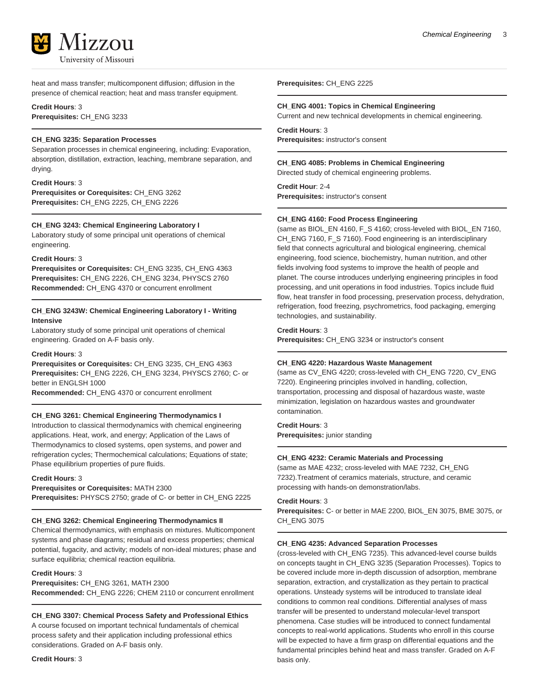

heat and mass transfer; multicomponent diffusion; diffusion in the presence of chemical reaction; heat and mass transfer equipment.

#### **Credit Hours**: 3

**Prerequisites:** CH\_ENG 3233

#### **CH\_ENG 3235: Separation Processes**

Separation processes in chemical engineering, including: Evaporation, absorption, distillation, extraction, leaching, membrane separation, and drying.

#### **Credit Hours**: 3

**Prerequisites or Corequisites:** CH\_ENG 3262 **Prerequisites:** CH\_ENG 2225, CH\_ENG 2226

#### **CH\_ENG 3243: Chemical Engineering Laboratory I**

Laboratory study of some principal unit operations of chemical engineering.

#### **Credit Hours**: 3

**Prerequisites or Corequisites:** CH\_ENG 3235, CH\_ENG 4363 **Prerequisites:** CH\_ENG 2226, CH\_ENG 3234, PHYSCS 2760 **Recommended:** CH\_ENG 4370 or concurrent enrollment

#### **CH\_ENG 3243W: Chemical Engineering Laboratory I - Writing Intensive**

Laboratory study of some principal unit operations of chemical engineering. Graded on A-F basis only.

#### **Credit Hours**: 3

**Prerequisites or Corequisites:** CH\_ENG 3235, CH\_ENG 4363 **Prerequisites:** CH\_ENG 2226, CH\_ENG 3234, PHYSCS 2760; C- or better in ENGLSH 1000

**Recommended:** CH\_ENG 4370 or concurrent enrollment

#### **CH\_ENG 3261: Chemical Engineering Thermodynamics I**

Introduction to classical thermodynamics with chemical engineering applications. Heat, work, and energy; Application of the Laws of Thermodynamics to closed systems, open systems, and power and refrigeration cycles; Thermochemical calculations; Equations of state; Phase equilibrium properties of pure fluids.

**Credit Hours**: 3

#### **Prerequisites or Corequisites:** MATH 2300

**Prerequisites:** PHYSCS 2750; grade of C- or better in CH\_ENG 2225

#### **CH\_ENG 3262: Chemical Engineering Thermodynamics II**

Chemical thermodynamics, with emphasis on mixtures. Multicomponent systems and phase diagrams; residual and excess properties; chemical potential, fugacity, and activity; models of non-ideal mixtures; phase and surface equilibria; chemical reaction equilibria.

#### **Credit Hours**: 3

**Prerequisites:** CH\_ENG 3261, MATH 2300 **Recommended:** CH\_ENG 2226; CHEM 2110 or concurrent enrollment

#### **CH\_ENG 3307: Chemical Process Safety and Professional Ethics**

A course focused on important technical fundamentals of chemical process safety and their application including professional ethics considerations. Graded on A-F basis only.

**Prerequisites:** CH\_ENG 2225

#### **CH\_ENG 4001: Topics in Chemical Engineering**

Current and new technical developments in chemical engineering.

**Credit Hours**: 3 **Prerequisites:** instructor's consent

#### **CH\_ENG 4085: Problems in Chemical Engineering**

Directed study of chemical engineering problems.

**Credit Hour**: 2-4 **Prerequisites:** instructor's consent

#### **CH\_ENG 4160: Food Process Engineering**

(same as BIOL\_EN 4160, F\_S 4160; cross-leveled with BIOL\_EN 7160, CH\_ENG 7160, F\_S 7160). Food engineering is an interdisciplinary field that connects agricultural and biological engineering, chemical engineering, food science, biochemistry, human nutrition, and other fields involving food systems to improve the health of people and planet. The course introduces underlying engineering principles in food processing, and unit operations in food industries. Topics include fluid flow, heat transfer in food processing, preservation process, dehydration, refrigeration, food freezing, psychrometrics, food packaging, emerging technologies, and sustainability.

#### **Credit Hours**: 3

**Prerequisites:** CH\_ENG 3234 or instructor's consent

#### **CH\_ENG 4220: Hazardous Waste Management**

(same as CV\_ENG 4220; cross-leveled with CH\_ENG 7220, CV\_ENG 7220). Engineering principles involved in handling, collection, transportation, processing and disposal of hazardous waste, waste minimization, legislation on hazardous wastes and groundwater contamination.

#### **Credit Hours**: 3

**Prerequisites:** junior standing

#### **CH\_ENG 4232: Ceramic Materials and Processing**

(same as MAE 4232; cross-leveled with MAE 7232, CH\_ENG 7232).Treatment of ceramics materials, structure, and ceramic processing with hands-on demonstration/labs.

#### **Credit Hours**: 3

**Prerequisites:** C- or better in MAE 2200, BIOL\_EN 3075, BME 3075, or CH\_ENG 3075

#### **CH\_ENG 4235: Advanced Separation Processes**

(cross-leveled with CH\_ENG 7235). This advanced-level course builds on concepts taught in CH\_ENG 3235 (Separation Processes). Topics to be covered include more in-depth discussion of adsorption, membrane separation, extraction, and crystallization as they pertain to practical operations. Unsteady systems will be introduced to translate ideal conditions to common real conditions. Differential analyses of mass transfer will be presented to understand molecular-level transport phenomena. Case studies will be introduced to connect fundamental concepts to real-world applications. Students who enroll in this course will be expected to have a firm grasp on differential equations and the fundamental principles behind heat and mass transfer. Graded on A-F basis only.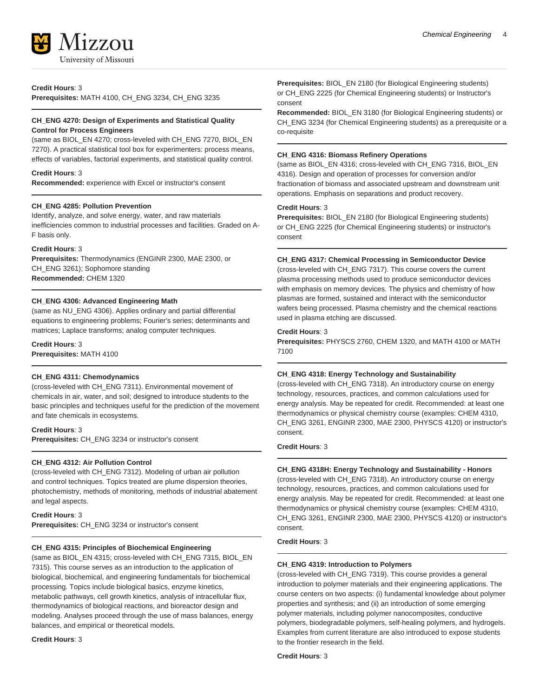

**Credit Hours**: 3

**Prerequisites:** MATH 4100, CH\_ENG 3234, CH\_ENG 3235

#### **CH\_ENG 4270: Design of Experiments and Statistical Quality Control for Process Engineers**

(same as BIOL\_EN 4270; cross-leveled with CH\_ENG 7270, BIOL\_EN 7270). A practical statistical tool box for experimenters: process means, effects of variables, factorial experiments, and statistical quality control.

#### **Credit Hours**: 3

**Recommended:** experience with Excel or instructor's consent

#### **CH\_ENG 4285: Pollution Prevention**

Identify, analyze, and solve energy, water, and raw materials inefficiencies common to industrial processes and facilities. Graded on A-F basis only.

#### **Credit Hours**: 3

**Prerequisites:** Thermodynamics (ENGINR 2300, MAE 2300, or CH\_ENG 3261); Sophomore standing **Recommended:** CHEM 1320

#### **CH\_ENG 4306: Advanced Engineering Math**

(same as NU\_ENG 4306). Applies ordinary and partial differential equations to engineering problems; Fourier's series; determinants and matrices; Laplace transforms; analog computer techniques.

#### **Credit Hours**: 3

**Prerequisites:** MATH 4100

#### **CH\_ENG 4311: Chemodynamics**

(cross-leveled with CH\_ENG 7311). Environmental movement of chemicals in air, water, and soil; designed to introduce students to the basic principles and techniques useful for the prediction of the movement and fate chemicals in ecosystems.

#### **Credit Hours**: 3

**Prerequisites:** CH\_ENG 3234 or instructor's consent

#### **CH\_ENG 4312: Air Pollution Control**

(cross-leveled with CH\_ENG 7312). Modeling of urban air pollution and control techniques. Topics treated are plume dispersion theories, photochemistry, methods of monitoring, methods of industrial abatement and legal aspects.

#### **Credit Hours**: 3

**Prerequisites:** CH\_ENG 3234 or instructor's consent

#### **CH\_ENG 4315: Principles of Biochemical Engineering**

(same as BIOL\_EN 4315; cross-leveled with CH\_ENG 7315, BIOL\_EN 7315). This course serves as an introduction to the application of biological, biochemical, and engineering fundamentals for biochemical processing. Topics include biological basics, enzyme kinetics, metabolic pathways, cell growth kinetics, analysis of intracellular flux, thermodynamics of biological reactions, and bioreactor design and modeling. Analyses proceed through the use of mass balances, energy balances, and empirical or theoretical models.

#### **Credit Hours**: 3

**Prerequisites:** BIOL\_EN 2180 (for Biological Engineering students) or CH\_ENG 2225 (for Chemical Engineering students) or Instructor's consent

**Recommended:** BIOL\_EN 3180 (for Biological Engineering students) or CH\_ENG 3234 (for Chemical Engineering students) as a prerequisite or a co-requisite

#### **CH\_ENG 4316: Biomass Refinery Operations**

(same as BIOL\_EN 4316; cross-leveled with CH\_ENG 7316, BIOL\_EN 4316). Design and operation of processes for conversion and/or fractionation of biomass and associated upstream and downstream unit operations. Emphasis on separations and product recovery.

#### **Credit Hours**: 3

**Prerequisites:** BIOL\_EN 2180 (for Biological Engineering students) or CH\_ENG 2225 (for Chemical Engineering students) or instructor's consent

#### **CH\_ENG 4317: Chemical Processing in Semiconductor Device**

(cross-leveled with CH\_ENG 7317). This course covers the current plasma processing methods used to produce semiconductor devices with emphasis on memory devices. The physics and chemistry of how plasmas are formed, sustained and interact with the semiconductor wafers being processed. Plasma chemistry and the chemical reactions used in plasma etching are discussed.

#### **Credit Hours**: 3

**Prerequisites:** PHYSCS 2760, CHEM 1320, and MATH 4100 or MATH 7100

#### **CH\_ENG 4318: Energy Technology and Sustainability**

(cross-leveled with CH\_ENG 7318). An introductory course on energy technology, resources, practices, and common calculations used for energy analysis. May be repeated for credit. Recommended: at least one thermodynamics or physical chemistry course (examples: CHEM 4310, CH\_ENG 3261, ENGINR 2300, MAE 2300, PHYSCS 4120) or instructor's consent.

#### **Credit Hours**: 3

#### **CH\_ENG 4318H: Energy Technology and Sustainability - Honors**

(cross-leveled with CH\_ENG 7318). An introductory course on energy technology, resources, practices, and common calculations used for energy analysis. May be repeated for credit. Recommended: at least one thermodynamics or physical chemistry course (examples: CHEM 4310, CH\_ENG 3261, ENGINR 2300, MAE 2300, PHYSCS 4120) or instructor's consent.

#### **Credit Hours**: 3

#### **CH\_ENG 4319: Introduction to Polymers**

(cross-leveled with CH\_ENG 7319). This course provides a general introduction to polymer materials and their engineering applications. The course centers on two aspects: (i) fundamental knowledge about polymer properties and synthesis; and (ii) an introduction of some emerging polymer materials, including polymer nanocomposites, conductive polymers, biodegradable polymers, self-healing polymers, and hydrogels. Examples from current literature are also introduced to expose students to the frontier research in the field.

**Credit Hours**: 3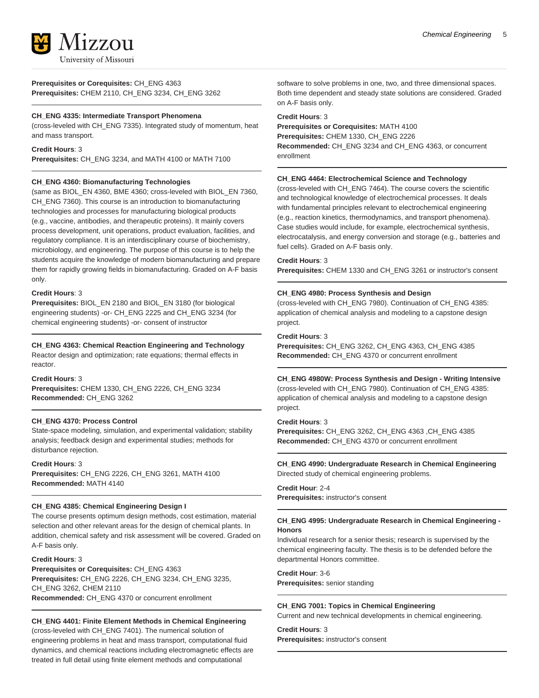

### **Prerequisites or Corequisites:** CH\_ENG 4363

**Prerequisites:** CHEM 2110, CH\_ENG 3234, CH\_ENG 3262

#### **CH\_ENG 4335: Intermediate Transport Phenomena**

(cross-leveled with CH\_ENG 7335). Integrated study of momentum, heat and mass transport.

#### **Credit Hours**: 3

**Prerequisites:** CH\_ENG 3234, and MATH 4100 or MATH 7100

#### **CH\_ENG 4360: Biomanufacturing Technologies**

(same as BIOL\_EN 4360, BME 4360; cross-leveled with BIOL\_EN 7360, CH\_ENG 7360). This course is an introduction to biomanufacturing technologies and processes for manufacturing biological products (e.g., vaccine, antibodies, and therapeutic proteins). It mainly covers process development, unit operations, product evaluation, facilities, and regulatory compliance. It is an interdisciplinary course of biochemistry, microbiology, and engineering. The purpose of this course is to help the students acquire the knowledge of modern biomanufacturing and prepare them for rapidly growing fields in biomanufacturing. Graded on A-F basis only.

#### **Credit Hours**: 3

**Prerequisites:** BIOL\_EN 2180 and BIOL\_EN 3180 (for biological engineering students) -or- CH\_ENG 2225 and CH\_ENG 3234 (for chemical engineering students) -or- consent of instructor

#### **CH\_ENG 4363: Chemical Reaction Engineering and Technology**

Reactor design and optimization; rate equations; thermal effects in reactor.

#### **Credit Hours**: 3

**Prerequisites:** CHEM 1330, CH\_ENG 2226, CH\_ENG 3234 **Recommended:** CH\_ENG 3262

#### **CH\_ENG 4370: Process Control**

State-space modeling, simulation, and experimental validation; stability analysis; feedback design and experimental studies; methods for disturbance rejection.

**Credit Hours**: 3

**Prerequisites:** CH\_ENG 2226, CH\_ENG 3261, MATH 4100 **Recommended:** MATH 4140

#### **CH\_ENG 4385: Chemical Engineering Design I**

The course presents optimum design methods, cost estimation, material selection and other relevant areas for the design of chemical plants. In addition, chemical safety and risk assessment will be covered. Graded on A-F basis only.

#### **Credit Hours**: 3

**Prerequisites or Corequisites:** CH\_ENG 4363 **Prerequisites:** CH\_ENG 2226, CH\_ENG 3234, CH\_ENG 3235, CH\_ENG 3262, CHEM 2110 **Recommended:** CH\_ENG 4370 or concurrent enrollment

#### **CH\_ENG 4401: Finite Element Methods in Chemical Engineering**

(cross-leveled with CH\_ENG 7401). The numerical solution of engineering problems in heat and mass transport, computational fluid dynamics, and chemical reactions including electromagnetic effects are treated in full detail using finite element methods and computational

software to solve problems in one, two, and three dimensional spaces. Both time dependent and steady state solutions are considered. Graded on A-F basis only.

#### **Credit Hours**: 3

**Prerequisites or Corequisites:** MATH 4100 **Prerequisites:** CHEM 1330, CH\_ENG 2226 **Recommended:** CH\_ENG 3234 and CH\_ENG 4363, or concurrent enrollment

#### **CH\_ENG 4464: Electrochemical Science and Technology**

(cross-leveled with CH\_ENG 7464). The course covers the scientific and technological knowledge of electrochemical processes. It deals with fundamental principles relevant to electrochemical engineering (e.g., reaction kinetics, thermodynamics, and transport phenomena). Case studies would include, for example, electrochemical synthesis, electrocatalysis, and energy conversion and storage (e.g., batteries and fuel cells). Graded on A-F basis only.

#### **Credit Hours**: 3

**Prerequisites:** CHEM 1330 and CH\_ENG 3261 or instructor's consent

#### **CH\_ENG 4980: Process Synthesis and Design**

(cross-leveled with CH\_ENG 7980). Continuation of CH\_ENG 4385: application of chemical analysis and modeling to a capstone design project.

#### **Credit Hours**: 3

**Prerequisites:** CH\_ENG 3262, CH\_ENG 4363, CH\_ENG 4385 **Recommended:** CH\_ENG 4370 or concurrent enrollment

#### **CH\_ENG 4980W: Process Synthesis and Design - Writing Intensive**

(cross-leveled with CH\_ENG 7980). Continuation of CH\_ENG 4385: application of chemical analysis and modeling to a capstone design project.

#### **Credit Hours**: 3

**Prerequisites:** CH\_ENG 3262, CH\_ENG 4363 ,CH\_ENG 4385 **Recommended:** CH\_ENG 4370 or concurrent enrollment

#### **CH\_ENG 4990: Undergraduate Research in Chemical Engineering** Directed study of chemical engineering problems.

**Credit Hour**: 2-4 **Prerequisites:** instructor's consent

#### **CH\_ENG 4995: Undergraduate Research in Chemical Engineering - Honors**

Individual research for a senior thesis; research is supervised by the chemical engineering faculty. The thesis is to be defended before the departmental Honors committee.

**Credit Hour**: 3-6 **Prerequisites:** senior standing

**CH\_ENG 7001: Topics in Chemical Engineering** Current and new technical developments in chemical engineering.

#### **Credit Hours**: 3

**Prerequisites:** instructor's consent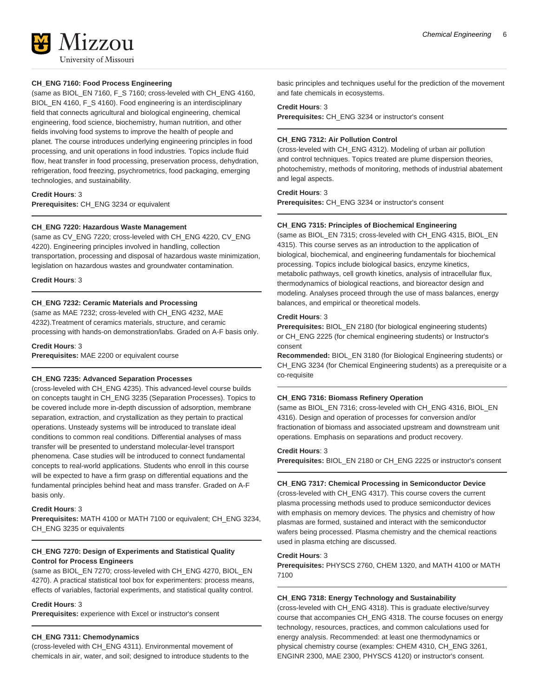

#### **CH\_ENG 7160: Food Process Engineering**

(same as BIOL\_EN 7160, F\_S 7160; cross-leveled with CH\_ENG 4160, BIOL\_EN 4160, F\_S 4160). Food engineering is an interdisciplinary field that connects agricultural and biological engineering, chemical engineering, food science, biochemistry, human nutrition, and other fields involving food systems to improve the health of people and planet. The course introduces underlying engineering principles in food processing, and unit operations in food industries. Topics include fluid flow, heat transfer in food processing, preservation process, dehydration, refrigeration, food freezing, psychrometrics, food packaging, emerging technologies, and sustainability.

**Credit Hours**: 3 **Prerequisites:** CH\_ENG 3234 or equivalent

#### **CH\_ENG 7220: Hazardous Waste Management**

(same as CV\_ENG 7220; cross-leveled with CH\_ENG 4220, CV\_ENG 4220). Engineering principles involved in handling, collection transportation, processing and disposal of hazardous waste minimization, legislation on hazardous wastes and groundwater contamination.

**Credit Hours**: 3

#### **CH\_ENG 7232: Ceramic Materials and Processing**

(same as MAE 7232; cross-leveled with CH\_ENG 4232, MAE 4232).Treatment of ceramics materials, structure, and ceramic processing with hands-on demonstration/labs. Graded on A-F basis only.

**Credit Hours**: 3

**Prerequisites:** MAE 2200 or equivalent course

#### **CH\_ENG 7235: Advanced Separation Processes**

(cross-leveled with CH\_ENG 4235). This advanced-level course builds on concepts taught in CH\_ENG 3235 (Separation Processes). Topics to be covered include more in-depth discussion of adsorption, membrane separation, extraction, and crystallization as they pertain to practical operations. Unsteady systems will be introduced to translate ideal conditions to common real conditions. Differential analyses of mass transfer will be presented to understand molecular-level transport phenomena. Case studies will be introduced to connect fundamental concepts to real-world applications. Students who enroll in this course will be expected to have a firm grasp on differential equations and the fundamental principles behind heat and mass transfer. Graded on A-F basis only.

#### **Credit Hours**: 3

**Prerequisites:** MATH 4100 or MATH 7100 or equivalent; CH\_ENG 3234, CH\_ENG 3235 or equivalents

#### **CH\_ENG 7270: Design of Experiments and Statistical Quality Control for Process Engineers**

(same as BIOL\_EN 7270; cross-leveled with CH\_ENG 4270, BIOL\_EN 4270). A practical statistical tool box for experimenters: process means, effects of variables, factorial experiments, and statistical quality control.

#### **Credit Hours**: 3

**Prerequisites:** experience with Excel or instructor's consent

#### **CH\_ENG 7311: Chemodynamics**

(cross-leveled with CH\_ENG 4311). Environmental movement of chemicals in air, water, and soil; designed to introduce students to the basic principles and techniques useful for the prediction of the movement and fate chemicals in ecosystems.

#### **Credit Hours**: 3

**Prerequisites:** CH\_ENG 3234 or instructor's consent

#### **CH\_ENG 7312: Air Pollution Control**

(cross-leveled with CH\_ENG 4312). Modeling of urban air pollution and control techniques. Topics treated are plume dispersion theories, photochemistry, methods of monitoring, methods of industrial abatement and legal aspects.

#### **Credit Hours**: 3

**Prerequisites:** CH\_ENG 3234 or instructor's consent

#### **CH\_ENG 7315: Principles of Biochemical Engineering**

(same as BIOL\_EN 7315; cross-leveled with CH\_ENG 4315, BIOL\_EN 4315). This course serves as an introduction to the application of biological, biochemical, and engineering fundamentals for biochemical processing. Topics include biological basics, enzyme kinetics, metabolic pathways, cell growth kinetics, analysis of intracellular flux, thermodynamics of biological reactions, and bioreactor design and modeling. Analyses proceed through the use of mass balances, energy balances, and empirical or theoretical models.

#### **Credit Hours**: 3

**Prerequisites:** BIOL\_EN 2180 (for biological engineering students) or CH\_ENG 2225 (for chemical engineering students) or Instructor's consent

**Recommended:** BIOL\_EN 3180 (for Biological Engineering students) or CH\_ENG 3234 (for Chemical Engineering students) as a prerequisite or a co-requisite

#### **CH\_ENG 7316: Biomass Refinery Operation**

(same as BIOL\_EN 7316; cross-leveled with CH\_ENG 4316, BIOL\_EN 4316). Design and operation of processes for conversion and/or fractionation of biomass and associated upstream and downstream unit operations. Emphasis on separations and product recovery.

#### **Credit Hours**: 3

**Prerequisites:** BIOL\_EN 2180 or CH\_ENG 2225 or instructor's consent

#### **CH\_ENG 7317: Chemical Processing in Semiconductor Device**

(cross-leveled with CH\_ENG 4317). This course covers the current plasma processing methods used to produce semiconductor devices with emphasis on memory devices. The physics and chemistry of how plasmas are formed, sustained and interact with the semiconductor wafers being processed. Plasma chemistry and the chemical reactions used in plasma etching are discussed.

#### **Credit Hours**: 3

**Prerequisites:** PHYSCS 2760, CHEM 1320, and MATH 4100 or MATH 7100

#### **CH\_ENG 7318: Energy Technology and Sustainability**

(cross-leveled with CH\_ENG 4318). This is graduate elective/survey course that accompanies CH\_ENG 4318. The course focuses on energy technology, resources, practices, and common calculations used for energy analysis. Recommended: at least one thermodynamics or physical chemistry course (examples: CHEM 4310, CH\_ENG 3261, ENGINR 2300, MAE 2300, PHYSCS 4120) or instructor's consent.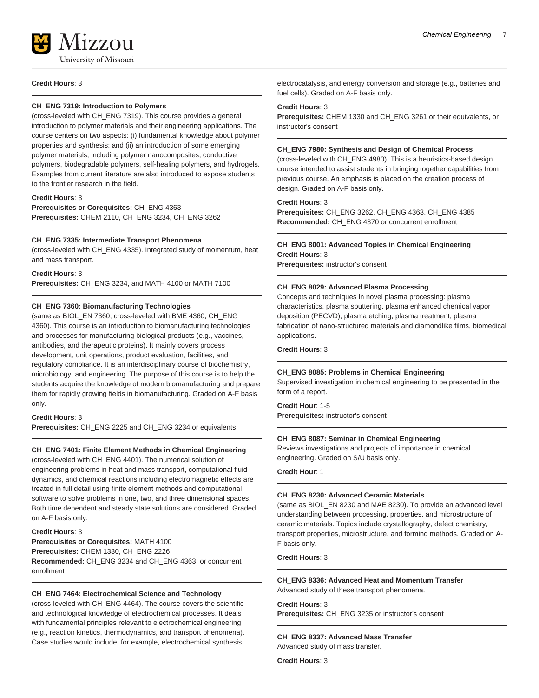#### **CH\_ENG 7319: Introduction to Polymers**

(cross-leveled with CH\_ENG 7319). This course provides a general introduction to polymer materials and their engineering applications. The course centers on two aspects: (i) fundamental knowledge about polymer properties and synthesis; and (ii) an introduction of some emerging polymer materials, including polymer nanocomposites, conductive polymers, biodegradable polymers, self-healing polymers, and hydrogels. Examples from current literature are also introduced to expose students to the frontier research in the field.

#### **Credit Hours**: 3

**Prerequisites or Corequisites:** CH\_ENG 4363 **Prerequisites:** CHEM 2110, CH\_ENG 3234, CH\_ENG 3262

#### **CH\_ENG 7335: Intermediate Transport Phenomena**

(cross-leveled with CH\_ENG 4335). Integrated study of momentum, heat and mass transport.

#### **Credit Hours**: 3

**Prerequisites:** CH\_ENG 3234, and MATH 4100 or MATH 7100

#### **CH\_ENG 7360: Biomanufacturing Technologies**

(same as BIOL\_EN 7360; cross-leveled with BME 4360, CH\_ENG 4360). This course is an introduction to biomanufacturing technologies and processes for manufacturing biological products (e.g., vaccines, antibodies, and therapeutic proteins). It mainly covers process development, unit operations, product evaluation, facilities, and regulatory compliance. It is an interdisciplinary course of biochemistry, microbiology, and engineering. The purpose of this course is to help the students acquire the knowledge of modern biomanufacturing and prepare them for rapidly growing fields in biomanufacturing. Graded on A-F basis only.

#### **Credit Hours**: 3

**Prerequisites:** CH\_ENG 2225 and CH\_ENG 3234 or equivalents

#### **CH\_ENG 7401: Finite Element Methods in Chemical Engineering**

(cross-leveled with CH\_ENG 4401). The numerical solution of engineering problems in heat and mass transport, computational fluid dynamics, and chemical reactions including electromagnetic effects are treated in full detail using finite element methods and computational software to solve problems in one, two, and three dimensional spaces. Both time dependent and steady state solutions are considered. Graded on A-F basis only.

#### **Credit Hours**: 3

**Prerequisites or Corequisites:** MATH 4100 **Prerequisites:** CHEM 1330, CH\_ENG 2226 **Recommended:** CH\_ENG 3234 and CH\_ENG 4363, or concurrent enrollment

#### **CH\_ENG 7464: Electrochemical Science and Technology**

(cross-leveled with CH\_ENG 4464). The course covers the scientific and technological knowledge of electrochemical processes. It deals with fundamental principles relevant to electrochemical engineering (e.g., reaction kinetics, thermodynamics, and transport phenomena). Case studies would include, for example, electrochemical synthesis, electrocatalysis, and energy conversion and storage (e.g., batteries and fuel cells). Graded on A-F basis only.

#### **Credit Hours**: 3

**Prerequisites:** CHEM 1330 and CH\_ENG 3261 or their equivalents, or instructor's consent

#### **CH\_ENG 7980: Synthesis and Design of Chemical Process**

(cross-leveled with CH\_ENG 4980). This is a heuristics-based design course intended to assist students in bringing together capabilities from previous course. An emphasis is placed on the creation process of design. Graded on A-F basis only.

#### **Credit Hours**: 3

**Prerequisites:** CH\_ENG 3262, CH\_ENG 4363, CH\_ENG 4385 **Recommended:** CH\_ENG 4370 or concurrent enrollment

#### **CH\_ENG 8001: Advanced Topics in Chemical Engineering Credit Hours**: 3

**Prerequisites:** instructor's consent

#### **CH\_ENG 8029: Advanced Plasma Processing**

Concepts and techniques in novel plasma processing: plasma characteristics, plasma sputtering, plasma enhanced chemical vapor deposition (PECVD), plasma etching, plasma treatment, plasma fabrication of nano-structured materials and diamondlike films, biomedical applications.

**Credit Hours**: 3

#### **CH\_ENG 8085: Problems in Chemical Engineering**

Supervised investigation in chemical engineering to be presented in the form of a report.

#### **Credit Hour**: 1-5

**Prerequisites:** instructor's consent

#### **CH\_ENG 8087: Seminar in Chemical Engineering**

Reviews investigations and projects of importance in chemical engineering. Graded on S/U basis only.

#### **Credit Hour**: 1

#### **CH\_ENG 8230: Advanced Ceramic Materials**

(same as BIOL\_EN 8230 and MAE 8230). To provide an advanced level understanding between processing, properties, and microstructure of ceramic materials. Topics include crystallography, defect chemistry, transport properties, microstructure, and forming methods. Graded on A-F basis only.

**Credit Hours**: 3

#### **CH\_ENG 8336: Advanced Heat and Momentum Transfer** Advanced study of these transport phenomena.

**Credit Hours**: 3

**Prerequisites:** CH\_ENG 3235 or instructor's consent

**CH\_ENG 8337: Advanced Mass Transfer** Advanced study of mass transfer.

**Credit Hours**: 3